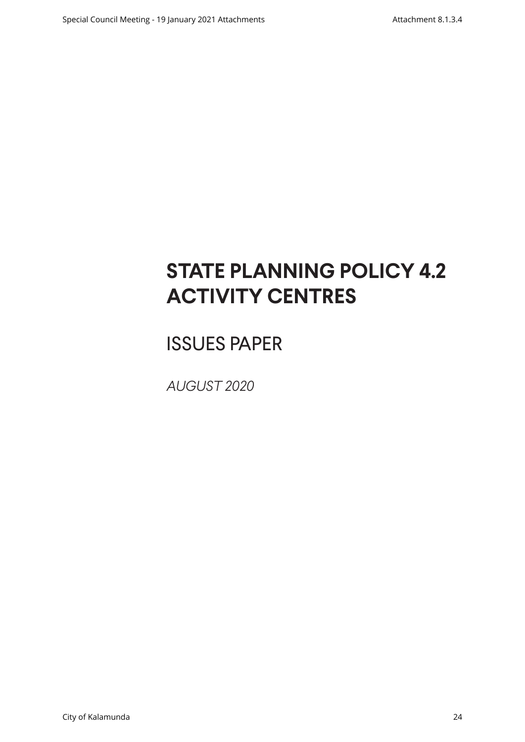# **STATE PLANNING POLICY 4.2 ACTIVITY CENTRES**

# ISSUES PAPER

*AUGUST 2020*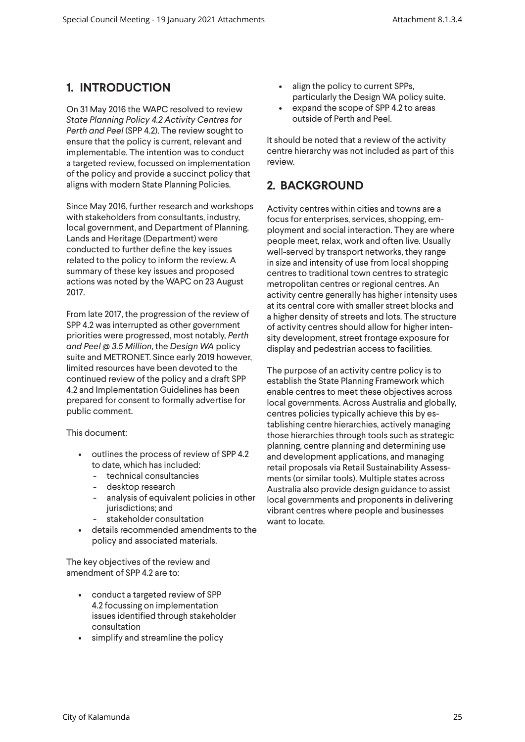# **1. INTRODUCTION**

On 31 May 2016 the WAPC resolved to review *State Planning Policy 4.2 Activity Centres for Perth and Peel* (SPP 4.2). The review sought to ensure that the policy is current, relevant and implementable. The intention was to conduct a targeted review, focussed on implementation of the policy and provide a succinct policy that aligns with modern State Planning Policies.

Since May 2016, further research and workshops with stakeholders from consultants, industry, local government, and Department of Planning, Lands and Heritage (Department) were conducted to further define the key issues related to the policy to inform the review. A summary of these key issues and proposed actions was noted by the WAPC on 23 August 2017.

From late 2017, the progression of the review of SPP 4.2 was interrupted as other government priorities were progressed, most notably, *Perth and Peel @ 3.5 Million*, the *Design WA* policy suite and METRONET. Since early 2019 however, limited resources have been devoted to the continued review of the policy and a draft SPP 4.2 and Implementation Guidelines has been prepared for consent to formally advertise for public comment.

This document:

- outlines the process of review of SPP 4.2 to date, which has included:
	- technical consultancies
	- desktop research
	- analysis of equivalent policies in other jurisdictions; and
	- stakeholder consultation
- details recommended amendments to the policy and associated materials.

The key objectives of the review and amendment of SPP 4.2 are to:

- conduct a targeted review of SPP 4.2 focussing on implementation issues identified through stakeholder consultation
- simplify and streamline the policy
- align the policy to current SPPs, particularly the Design WA policy suite.
- expand the scope of SPP 4.2 to areas outside of Perth and Peel.

It should be noted that a review of the activity centre hierarchy was not included as part of this review.

# **2. BACKGROUND**

Activity centres within cities and towns are a focus for enterprises, services, shopping, employment and social interaction. They are where people meet, relax, work and often live. Usually well-served by transport networks, they range in size and intensity of use from local shopping centres to traditional town centres to strategic metropolitan centres or regional centres. An activity centre generally has higher intensity uses at its central core with smaller street blocks and a higher density of streets and lots. The structure of activity centres should allow for higher intensity development, street frontage exposure for display and pedestrian access to facilities.

The purpose of an activity centre policy is to establish the State Planning Framework which enable centres to meet these objectives across local governments. Across Australia and globally, centres policies typically achieve this by establishing centre hierarchies, actively managing those hierarchies through tools such as strategic planning, centre planning and determining use and development applications, and managing retail proposals via Retail Sustainability Assessments (or similar tools). Multiple states across Australia also provide design guidance to assist local governments and proponents in delivering vibrant centres where people and businesses want to locate.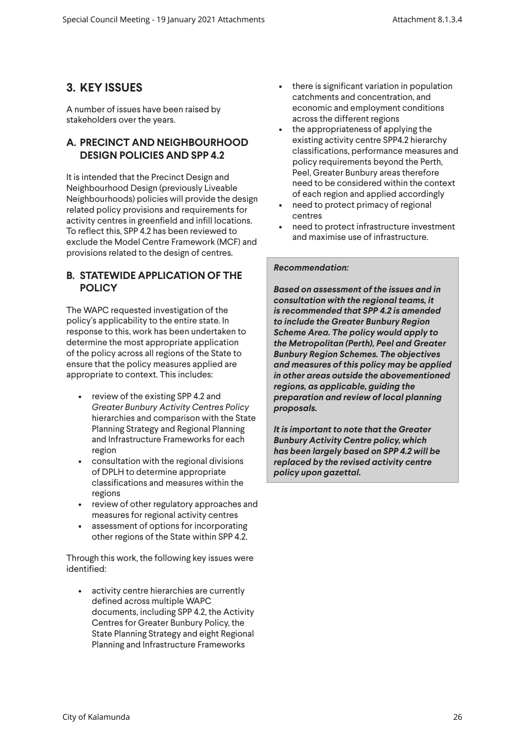# **3. KEY ISSUES**

A number of issues have been raised by stakeholders over the years.

# **A. PRECINCT AND NEIGHBOURHOOD DESIGN POLICIES AND SPP 4.2**

It is intended that the Precinct Design and Neighbourhood Design (previously Liveable Neighbourhoods) policies will provide the design related policy provisions and requirements for activity centres in greenfield and infill locations. To reflect this, SPP 4.2 has been reviewed to exclude the Model Centre Framework (MCF) and provisions related to the design of centres.

# **B. STATEWIDE APPLICATION OF THE POLICY**

The WAPC requested investigation of the policy's applicability to the entire state. In response to this, work has been undertaken to determine the most appropriate application of the policy across all regions of the State to ensure that the policy measures applied are appropriate to context. This includes:

- review of the existing SPP 4.2 and *Greater Bunbury Activity Centres Policy* hierarchies and comparison with the State Planning Strategy and Regional Planning and Infrastructure Frameworks for each region
- consultation with the regional divisions of DPLH to determine appropriate classifications and measures within the regions
- review of other regulatory approaches and measures for regional activity centres
- assessment of options for incorporating other regions of the State within SPP 4.2.

Through this work, the following key issues were identified:

• activity centre hierarchies are currently defined across multiple WAPC documents, including SPP 4.2, the Activity Centres for Greater Bunbury Policy, the State Planning Strategy and eight Regional Planning and Infrastructure Frameworks

- there is significant variation in population catchments and concentration, and economic and employment conditions across the different regions
- the appropriateness of applying the existing activity centre SPP4.2 hierarchy classifications, performance measures and policy requirements beyond the Perth, Peel, Greater Bunbury areas therefore need to be considered within the context of each region and applied accordingly
- need to protect primacy of regional centres
- need to protect infrastructure investment and maximise use of infrastructure.

# *Recommendation:*

*Based on assessment of the issues and in consultation with the regional teams, it is recommended that SPP 4.2 is amended to include the Greater Bunbury Region Scheme Area. The policy would apply to the Metropolitan (Perth), Peel and Greater Bunbury Region Schemes. The objectives and measures of this policy may be applied in other areas outside the abovementioned regions, as applicable, guiding the preparation and review of local planning proposals.*

*It is important to note that the Greater Bunbury Activity Centre policy, which has been largely based on SPP 4.2 will be replaced by the revised activity centre policy upon gazettal.*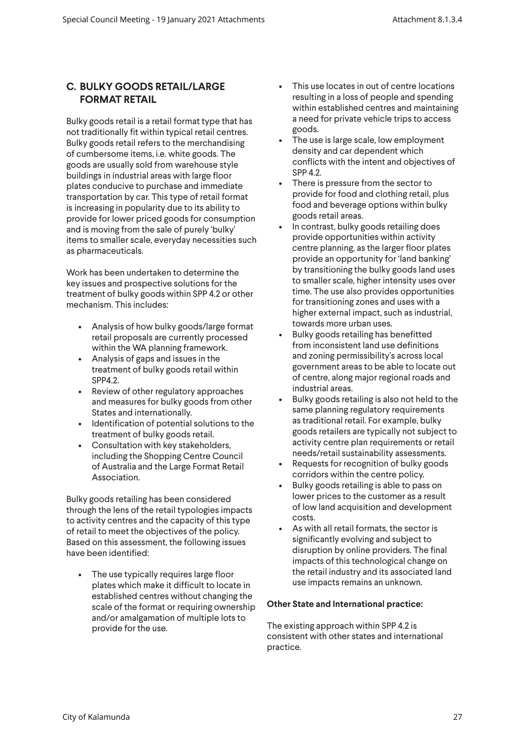# **C. BULKY GOODS RETAIL/LARGE FORMAT RETAIL**

Bulky goods retail is a retail format type that has not traditionally fit within typical retail centres. Bulky goods retail refers to the merchandising of cumbersome items, i.e. white goods. The goods are usually sold from warehouse style buildings in industrial areas with large floor plates conducive to purchase and immediate transportation by car. This type of retail format is increasing in popularity due to its ability to provide for lower priced goods for consumption and is moving from the sale of purely 'bulky' items to smaller scale, everyday necessities such as pharmaceuticals.

Work has been undertaken to determine the key issues and prospective solutions for the treatment of bulky goods within SPP 4.2 or other mechanism. This includes:

- Analysis of how bulky goods/large format retail proposals are currently processed within the WA planning framework.
- Analysis of gaps and issues in the treatment of bulky goods retail within SPP4.2.
- Review of other regulatory approaches and measures for bulky goods from other States and internationally.
- Identification of potential solutions to the treatment of bulky goods retail.
- Consultation with key stakeholders, including the Shopping Centre Council of Australia and the Large Format Retail Association.

Bulky goods retailing has been considered through the lens of the retail typologies impacts to activity centres and the capacity of this type of retail to meet the objectives of the policy. Based on this assessment, the following issues have been identified:

• The use typically requires large floor plates which make it difficult to locate in established centres without changing the scale of the format or requiring ownership and/or amalgamation of multiple lots to provide for the use.

- This use locates in out of centre locations resulting in a loss of people and spending within established centres and maintaining a need for private vehicle trips to access goods.
- The use is large scale, low employment density and car dependent which conflicts with the intent and objectives of SPP 4.2.
- There is pressure from the sector to provide for food and clothing retail, plus food and beverage options within bulky goods retail areas.
- In contrast, bulky goods retailing does provide opportunities within activity centre planning, as the larger floor plates provide an opportunity for 'land banking' by transitioning the bulky goods land uses to smaller scale, higher intensity uses over time. The use also provides opportunities for transitioning zones and uses with a higher external impact, such as industrial, towards more urban uses.
- Bulky goods retailing has benefitted from inconsistent land use definitions and zoning permissibility's across local government areas to be able to locate out of centre, along major regional roads and industrial areas.
- Bulky goods retailing is also not held to the same planning regulatory requirements as traditional retail. For example, bulky goods retailers are typically not subject to activity centre plan requirements or retail needs/retail sustainability assessments.
- Requests for recognition of bulky goods corridors within the centre policy.
- Bulky goods retailing is able to pass on lower prices to the customer as a result of low land acquisition and development costs.
- As with all retail formats, the sector is significantly evolving and subject to disruption by online providers. The final impacts of this technological change on the retail industry and its associated land use impacts remains an unknown.

## **Other State and International practice:**

The existing approach within SPP 4.2 is consistent with other states and international practice.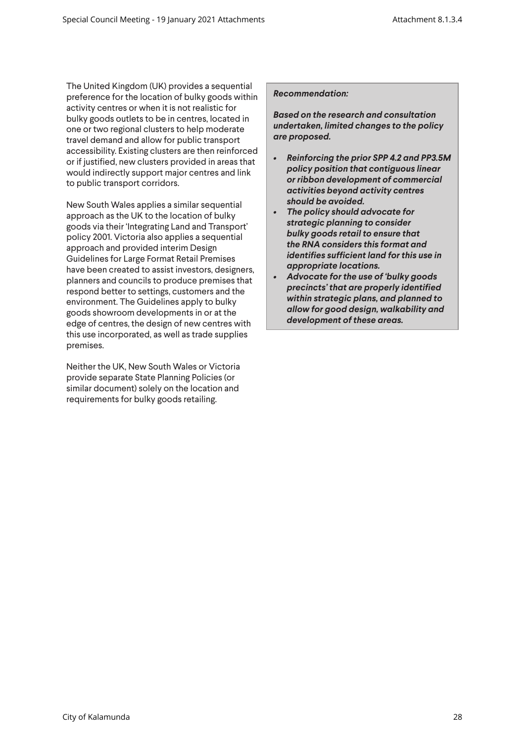The United Kingdom (UK) provides a sequential preference for the location of bulky goods within activity centres or when it is not realistic for bulky goods outlets to be in centres, located in one or two regional clusters to help moderate travel demand and allow for public transport accessibility. Existing clusters are then reinforced or if justified, new clusters provided in areas that would indirectly support major centres and link to public transport corridors.

New South Wales applies a similar sequential approach as the UK to the location of bulky goods via their 'Integrating Land and Transport' policy 2001. Victoria also applies a sequential approach and provided interim Design Guidelines for Large Format Retail Premises have been created to assist investors, designers, planners and councils to produce premises that respond better to settings, customers and the environment. The Guidelines apply to bulky goods showroom developments in or at the edge of centres, the design of new centres with this use incorporated, as well as trade supplies premises.

Neither the UK, New South Wales or Victoria provide separate State Planning Policies (or similar document) solely on the location and requirements for bulky goods retailing.

#### *Recommendation:*

*Based on the research and consultation undertaken, limited changes to the policy are proposed.*

- *• Reinforcing the prior SPP 4.2 and PP3.5M policy position that contiguous linear or ribbon development of commercial activities beyond activity centres should be avoided.*
- *• The policy should advocate for strategic planning to consider bulky goods retail to ensure that the RNA considers this format and identifies sufficient land for this use in appropriate locations.*
- *• Advocate for the use of 'bulky goods precincts' that are properly identified within strategic plans, and planned to allow for good design, walkability and development of these areas.*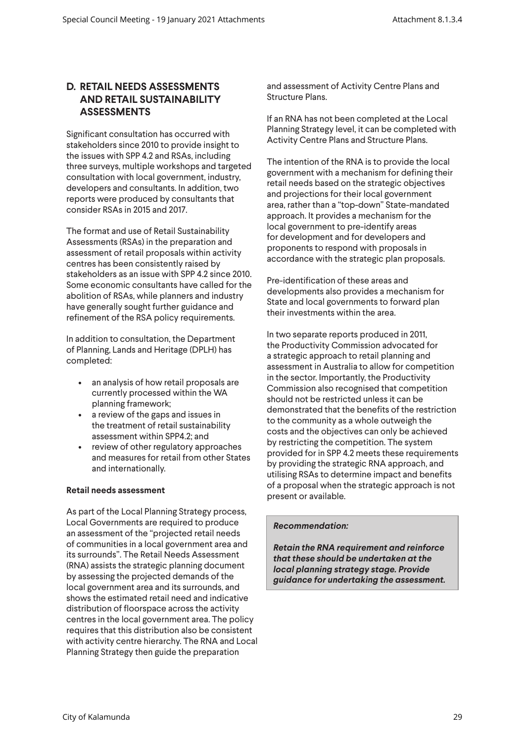# **D. RETAIL NEEDS ASSESSMENTS AND RETAIL SUSTAINABILITY ASSESSMENTS**

Significant consultation has occurred with stakeholders since 2010 to provide insight to the issues with SPP 4.2 and RSAs, including three surveys, multiple workshops and targeted consultation with local government, industry, developers and consultants. In addition, two reports were produced by consultants that consider RSAs in 2015 and 2017.

The format and use of Retail Sustainability Assessments (RSAs) in the preparation and assessment of retail proposals within activity centres has been consistently raised by stakeholders as an issue with SPP 4.2 since 2010. Some economic consultants have called for the abolition of RSAs, while planners and industry have generally sought further guidance and refinement of the RSA policy requirements.

In addition to consultation, the Department of Planning, Lands and Heritage (DPLH) has completed:

- an analysis of how retail proposals are currently processed within the WA planning framework;
- a review of the gaps and issues in the treatment of retail sustainability assessment within SPP4.2; and
- review of other regulatory approaches and measures for retail from other States and internationally.

## **Retail needs assessment**

As part of the Local Planning Strategy process, Local Governments are required to produce an assessment of the "projected retail needs of communities in a local government area and its surrounds". The Retail Needs Assessment (RNA) assists the strategic planning document by assessing the projected demands of the local government area and its surrounds, and shows the estimated retail need and indicative distribution of floorspace across the activity centres in the local government area. The policy requires that this distribution also be consistent with activity centre hierarchy. The RNA and Local Planning Strategy then guide the preparation

and assessment of Activity Centre Plans and Structure Plans.

If an RNA has not been completed at the Local Planning Strategy level, it can be completed with Activity Centre Plans and Structure Plans.

The intention of the RNA is to provide the local government with a mechanism for defining their retail needs based on the strategic objectives and projections for their local government area, rather than a "top-down" State-mandated approach. It provides a mechanism for the local government to pre-identify areas for development and for developers and proponents to respond with proposals in accordance with the strategic plan proposals.

Pre-identification of these areas and developments also provides a mechanism for State and local governments to forward plan their investments within the area.

In two separate reports produced in 2011, the Productivity Commission advocated for a strategic approach to retail planning and assessment in Australia to allow for competition in the sector. Importantly, the Productivity Commission also recognised that competition should not be restricted unless it can be demonstrated that the benefits of the restriction to the community as a whole outweigh the costs and the objectives can only be achieved by restricting the competition. The system provided for in SPP 4.2 meets these requirements by providing the strategic RNA approach, and utilising RSAs to determine impact and benefits of a proposal when the strategic approach is not present or available.

## *Recommendation:*

*Retain the RNA requirement and reinforce that these should be undertaken at the local planning strategy stage. Provide guidance for undertaking the assessment.*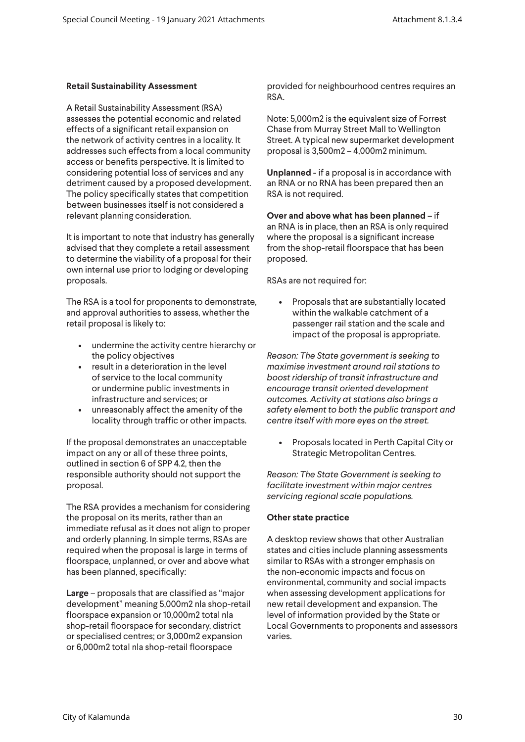## **Retail Sustainability Assessment**

A Retail Sustainability Assessment (RSA) assesses the potential economic and related effects of a significant retail expansion on the network of activity centres in a locality. It addresses such effects from a local community access or benefits perspective. It is limited to considering potential loss of services and any detriment caused by a proposed development. The policy specifically states that competition between businesses itself is not considered a relevant planning consideration.

It is important to note that industry has generally advised that they complete a retail assessment to determine the viability of a proposal for their own internal use prior to lodging or developing proposals.

The RSA is a tool for proponents to demonstrate, and approval authorities to assess, whether the retail proposal is likely to:

- undermine the activity centre hierarchy or the policy objectives
- result in a deterioration in the level of service to the local community or undermine public investments in infrastructure and services; or
- unreasonably affect the amenity of the locality through traffic or other impacts.

If the proposal demonstrates an unacceptable impact on any or all of these three points, outlined in section 6 of SPP 4.2, then the responsible authority should not support the proposal.

The RSA provides a mechanism for considering the proposal on its merits, rather than an immediate refusal as it does not align to proper and orderly planning. In simple terms, RSAs are required when the proposal is large in terms of floorspace, unplanned, or over and above what has been planned, specifically:

**Large** – proposals that are classified as "major development" meaning 5,000m2 nla shop-retail floorspace expansion or 10,000m2 total nla shop-retail floorspace for secondary, district or specialised centres; or 3,000m2 expansion or 6,000m2 total nla shop-retail floorspace

provided for neighbourhood centres requires an RSA.

Note: 5,000m2 is the equivalent size of Forrest Chase from Murray Street Mall to Wellington Street. A typical new supermarket development proposal is 3,500m2 – 4,000m2 minimum.

**Unplanned** - if a proposal is in accordance with an RNA or no RNA has been prepared then an RSA is not required.

**Over and above what has been planned** – if an RNA is in place, then an RSA is only required where the proposal is a significant increase from the shop-retail floorspace that has been proposed.

RSAs are not required for:

• Proposals that are substantially located within the walkable catchment of a passenger rail station and the scale and impact of the proposal is appropriate.

*Reason: The State government is seeking to maximise investment around rail stations to boost ridership of transit infrastructure and encourage transit oriented development outcomes. Activity at stations also brings a safety element to both the public transport and centre itself with more eyes on the street.*

• Proposals located in Perth Capital City or Strategic Metropolitan Centres.

*Reason: The State Government is seeking to facilitate investment within major centres servicing regional scale populations.*

## **Other state practice**

A desktop review shows that other Australian states and cities include planning assessments similar to RSAs with a stronger emphasis on the non-economic impacts and focus on environmental, community and social impacts when assessing development applications for new retail development and expansion. The level of information provided by the State or Local Governments to proponents and assessors varies.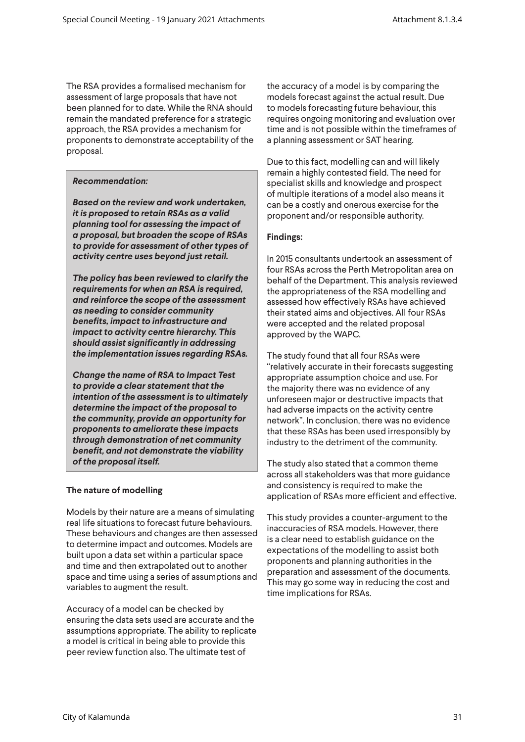The RSA provides a formalised mechanism for assessment of large proposals that have not been planned for to date. While the RNA should remain the mandated preference for a strategic approach, the RSA provides a mechanism for proponents to demonstrate acceptability of the proposal.

## *Recommendation:*

*Based on the review and work undertaken, it is proposed to retain RSAs as a valid planning tool for assessing the impact of a proposal, but broaden the scope of RSAs to provide for assessment of other types of activity centre uses beyond just retail.* 

*The policy has been reviewed to clarify the requirements for when an RSA is required, and reinforce the scope of the assessment as needing to consider community benefits, impact to infrastructure and impact to activity centre hierarchy. This should assist significantly in addressing the implementation issues regarding RSAs.*

*Change the name of RSA to Impact Test to provide a clear statement that the intention of the assessment is to ultimately determine the impact of the proposal to the community, provide an opportunity for proponents to ameliorate these impacts through demonstration of net community benefit, and not demonstrate the viability of the proposal itself.*

## **The nature of modelling**

Models by their nature are a means of simulating real life situations to forecast future behaviours. These behaviours and changes are then assessed to determine impact and outcomes. Models are built upon a data set within a particular space and time and then extrapolated out to another space and time using a series of assumptions and variables to augment the result.

Accuracy of a model can be checked by ensuring the data sets used are accurate and the assumptions appropriate. The ability to replicate a model is critical in being able to provide this peer review function also. The ultimate test of

the accuracy of a model is by comparing the models forecast against the actual result. Due to models forecasting future behaviour, this requires ongoing monitoring and evaluation over time and is not possible within the timeframes of a planning assessment or SAT hearing.

Due to this fact, modelling can and will likely remain a highly contested field. The need for specialist skills and knowledge and prospect of multiple iterations of a model also means it can be a costly and onerous exercise for the proponent and/or responsible authority.

# **Findings:**

In 2015 consultants undertook an assessment of four RSAs across the Perth Metropolitan area on behalf of the Department. This analysis reviewed the appropriateness of the RSA modelling and assessed how effectively RSAs have achieved their stated aims and objectives. All four RSAs were accepted and the related proposal approved by the WAPC.

The study found that all four RSAs were "relatively accurate in their forecasts suggesting appropriate assumption choice and use. For the majority there was no evidence of any unforeseen major or destructive impacts that had adverse impacts on the activity centre network". In conclusion, there was no evidence that these RSAs has been used irresponsibly by industry to the detriment of the community.

The study also stated that a common theme across all stakeholders was that more guidance and consistency is required to make the application of RSAs more efficient and effective.

This study provides a counter-argument to the inaccuracies of RSA models. However, there is a clear need to establish guidance on the expectations of the modelling to assist both proponents and planning authorities in the preparation and assessment of the documents. This may go some way in reducing the cost and time implications for RSAs.